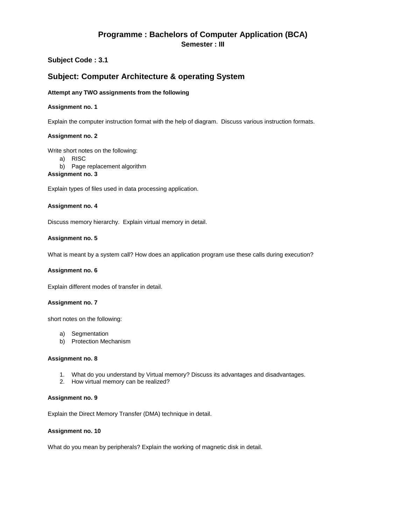# **Programme : Bachelors of Computer Application (BCA) Semester : III**

# **Subject Code : 3.1**

# **Subject: Computer Architecture & operating System**

### **Attempt any TWO assignments from the following**

### **Assignment no. 1**

Explain the computer instruction format with the help of diagram. Discuss various instruction formats.

### **Assignment no. 2**

Write short notes on the following:

- a) RISC
- b) Page replacement algorithm

## **Assignment no. 3**

Explain types of files used in data processing application.

### **Assignment no. 4**

Discuss memory hierarchy. Explain virtual memory in detail.

### **Assignment no. 5**

What is meant by a system call? How does an application program use these calls during execution?

### **Assignment no. 6**

Explain different modes of transfer in detail.

### **Assignment no. 7**

short notes on the following:

- a) Segmentation
- b) Protection Mechanism

#### **Assignment no. 8**

- 1. What do you understand by Virtual memory? Discuss its advantages and disadvantages.
- 2. How virtual memory can be realized?

### **Assignment no. 9**

Explain the Direct Memory Transfer (DMA) technique in detail.

### **Assignment no. 10**

What do you mean by peripherals? Explain the working of magnetic disk in detail.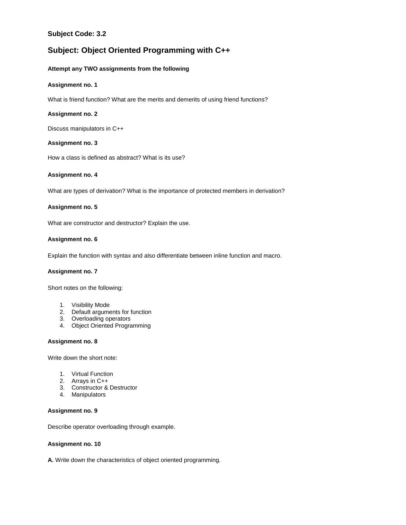# **Subject Code: 3.2**

# **Subject: Object Oriented Programming with C++**

### **Attempt any TWO assignments from the following**

### **Assignment no. 1**

What is friend function? What are the merits and demerits of using friend functions?

### **Assignment no. 2**

Discuss manipulators in C++

### **Assignment no. 3**

How a class is defined as abstract? What is its use?

### **Assignment no. 4**

What are types of derivation? What is the importance of protected members in derivation?

### **Assignment no. 5**

What are constructor and destructor? Explain the use.

### **Assignment no. 6**

Explain the function with syntax and also differentiate between inline function and macro.

### **Assignment no. 7**

Short notes on the following:

- 1. Visibility Mode
- 2. Default arguments for function
- 3. Overloading operators
- 4. Object Oriented Programming

#### **Assignment no. 8**

Write down the short note:

- 1. Virtual Function
- 2. Arrays in C++
- 3. Constructor & Destructor
- 4. Manipulators

#### **Assignment no. 9**

Describe operator overloading through example.

### **Assignment no. 10**

**A.** Write down the characteristics of object oriented programming.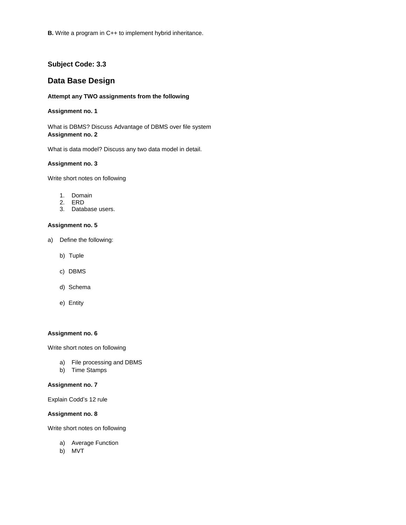# **Subject Code: 3.3**

# **Data Base Design**

### **Attempt any TWO assignments from the following**

### **Assignment no. 1**

What is DBMS? Discuss Advantage of DBMS over file system **Assignment no. 2**

What is data model? Discuss any two data model in detail.

### **Assignment no. 3**

Write short notes on following

- 1. Domain
- 2. ERD
- 3. Database users.

#### **Assignment no. 5**

- a) Define the following:
	- b) Tuple
	- c) DBMS
	- d) Schema
	- e) Entity

### **Assignment no. 6**

Write short notes on following

- a) File processing and DBMS
- b) Time Stamps

### **Assignment no. 7**

Explain Codd's 12 rule

### **Assignment no. 8**

Write short notes on following

- a) Average Function
- b) MVT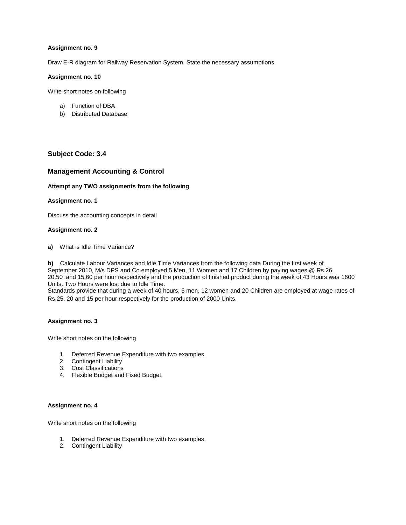Draw E-R diagram for Railway Reservation System. State the necessary assumptions.

### **Assignment no. 10**

Write short notes on following

- a) Function of DBA
- b) Distributed Database

# **Subject Code: 3.4**

# **Management Accounting & Control**

### **Attempt any TWO assignments from the following**

### **Assignment no. 1**

Discuss the accounting concepts in detail

### **Assignment no. 2**

**a)** What is Idle Time Variance?

**b)** Calculate Labour Variances and Idle Time Variances from the following data During the first week of September,2010, M/s DPS and Co.employed 5 Men, 11 Women and 17 Children by paying wages @ Rs.26, 20.50 and 15.60 per hour respectively and the production of finished product during the week of 43 Hours was 1600 Units. Two Hours were lost due to Idle Time.

Standards provide that during a week of 40 hours, 6 men, 12 women and 20 Children are employed at wage rates of Rs.25, 20 and 15 per hour respectively for the production of 2000 Units.

### **Assignment no. 3**

Write short notes on the following

- 1. Deferred Revenue Expenditure with two examples.
- 2. Contingent Liability
- 3. Cost Classifications
- 4. Flexible Budget and Fixed Budget.

#### **Assignment no. 4**

Write short notes on the following

- 1. Deferred Revenue Expenditure with two examples.
- 2. Contingent Liability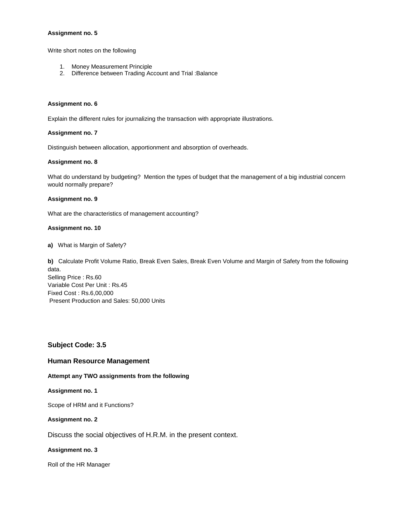Write short notes on the following

- 1. Money Measurement Principle
- 2. Difference between Trading Account and Trial :Balance

#### **Assignment no. 6**

Explain the different rules for journalizing the transaction with appropriate illustrations.

#### **Assignment no. 7**

Distinguish between allocation, apportionment and absorption of overheads.

### **Assignment no. 8**

What do understand by budgeting? Mention the types of budget that the management of a big industrial concern would normally prepare?

#### **Assignment no. 9**

What are the characteristics of management accounting?

#### **Assignment no. 10**

**a)** What is Margin of Safety?

**b)** Calculate Profit Volume Ratio, Break Even Sales, Break Even Volume and Margin of Safety from the following data. Selling Price : Rs.60 Variable Cost Per Unit : Rs.45 Fixed Cost : Rs.6,00,000 Present Production and Sales: 50,000 Units

### **Subject Code: 3.5**

### **Human Resource Management**

#### **Attempt any TWO assignments from the following**

#### **Assignment no. 1**

Scope of HRM and it Functions?

#### **Assignment no. 2**

Discuss the social objectives of H.R.M. in the present context.

#### **Assignment no. 3**

Roll of the HR Manager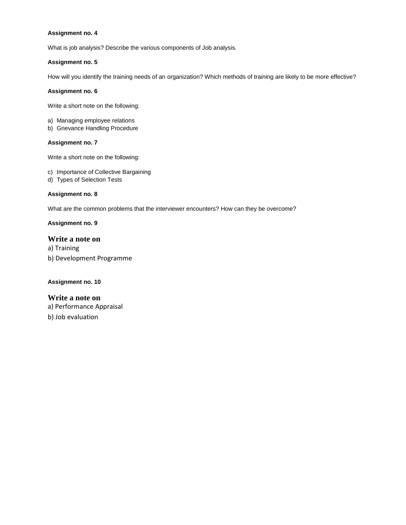What is job analysis? Describe the various components of Job analysis.

### **Assignment no. 5**

How will you identify the training needs of an organization? Which methods of training are likely to be more effective?

### **Assignment no. 6**

Write a short note on the following:

- a) Managing employee relations
- b) Grievance Handling Procedure

### **Assignment no. 7**

Write a short note on the following:

- c) Importance of Collective Bargaining
- d) Types of Selection Tests

### **Assignment no. 8**

What are the common problems that the interviewer encounters? How can they be overcome?

## **Assignment no. 9**

## **Write a note on**

a) Training b) Development Programme

### **Assignment no. 10**

# **Write a note on** a) Performance Appraisal b) Job evaluation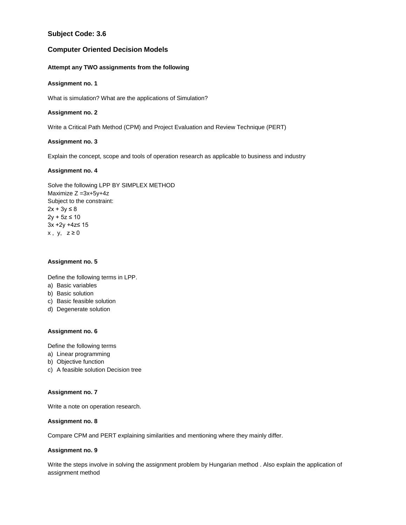# **Subject Code: 3.6**

## **Computer Oriented Decision Models**

### **Attempt any TWO assignments from the following**

### **Assignment no. 1**

What is simulation? What are the applications of Simulation?

### **Assignment no. 2**

Write a Critical Path Method (CPM) and Project Evaluation and Review Technique (PERT)

### **Assignment no. 3**

Explain the concept, scope and tools of operation research as applicable to business and industry

### **Assignment no. 4**

Solve the following LPP BY SIMPLEX METHOD Maximize Z =3x+5y+4z Subject to the constraint:  $2x + 3y ≤ 8$  $2y + 5z \le 10$ 3x +2y +4z≤ 15  $x, y, z \ge 0$ 

### **Assignment no. 5**

Define the following terms in LPP.

- a) Basic variables
- b) Basic solution
- c) Basic feasible solution
- d) Degenerate solution

### **Assignment no. 6**

Define the following terms

- a) Linear programming
- b) Objective function
- c) A feasible solution Decision tree

### **Assignment no. 7**

Write a note on operation research.

### **Assignment no. 8**

Compare CPM and PERT explaining similarities and mentioning where they mainly differ.

### **Assignment no. 9**

Write the steps involve in solving the assignment problem by Hungarian method . Also explain the application of assignment method